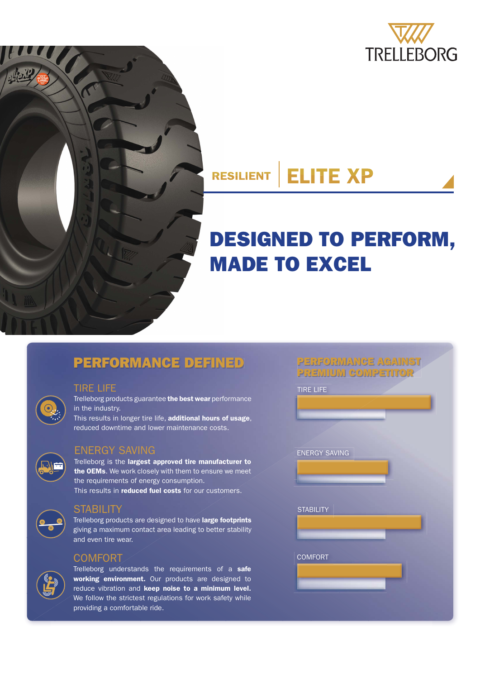



# **DESIGNED TO PERFORM, MADE TO EXCEL**

## **PERFORMANCE DEFINED PERFORMANCE AGAINST**

#### TIRE LIFE

Trelleborg products guarantee **the best wear** performance in the industry.

This results in longer tire life, **additional hours of usage**, reduced downtime and lower maintenance costs.

#### ENERGY SAVING

Trelleborg is the **largest approved tire manufacturer to the OEMs**. We work closely with them to ensure we meet the requirements of energy consumption. This results in **reduced fuel costs** for our customers.



#### **STABILITY**

Trelleborg products are designed to have **large footprints** giving a maximum contact area leading to better stability and even tire wear.

#### COMFORT

Trelleborg understands the requirements of a **safe working environment.** Our products are designed to reduce vibration and **keep noise to a minimum level.**  We follow the strictest regulations for work safety while providing a comfortable ride.

| <b>PREMIUM COMPETITOR</b> |  |
|---------------------------|--|
| <b>TIRE LIFE</b>          |  |
|                           |  |
|                           |  |
|                           |  |
| <b>ENERGY SAVING</b>      |  |
|                           |  |
|                           |  |
|                           |  |
| <b>STABILITY</b>          |  |
|                           |  |
|                           |  |
|                           |  |
| <b>COMFORT</b>            |  |
|                           |  |
|                           |  |
|                           |  |